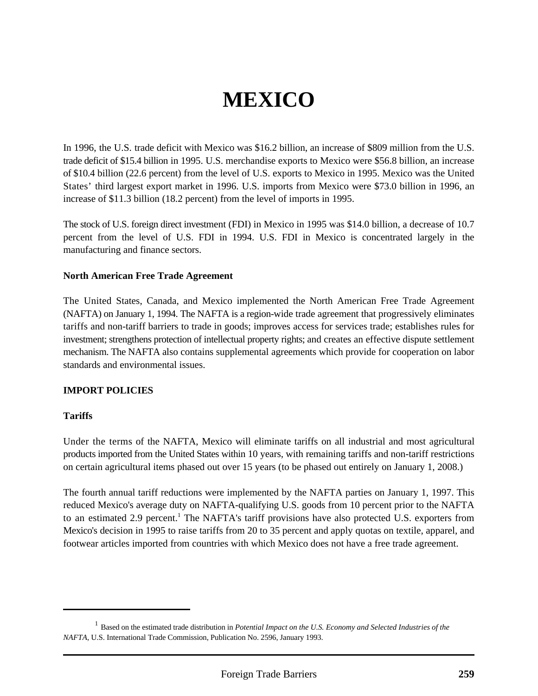# **MEXICO**

In 1996, the U.S. trade deficit with Mexico was \$16.2 billion, an increase of \$809 million from the U.S. trade deficit of \$15.4 billion in 1995. U.S. merchandise exports to Mexico were \$56.8 billion, an increase of \$10.4 billion (22.6 percent) from the level of U.S. exports to Mexico in 1995. Mexico was the United States' third largest export market in 1996. U.S. imports from Mexico were \$73.0 billion in 1996, an increase of \$11.3 billion (18.2 percent) from the level of imports in 1995.

The stock of U.S. foreign direct investment (FDI) in Mexico in 1995 was \$14.0 billion, a decrease of 10.7 percent from the level of U.S. FDI in 1994. U.S. FDI in Mexico is concentrated largely in the manufacturing and finance sectors.

#### **North American Free Trade Agreement**

The United States, Canada, and Mexico implemented the North American Free Trade Agreement (NAFTA) on January 1, 1994. The NAFTA is a region-wide trade agreement that progressively eliminates tariffs and non-tariff barriers to trade in goods; improves access for services trade; establishes rules for investment; strengthens protection of intellectual property rights; and creates an effective dispute settlement mechanism. The NAFTA also contains supplemental agreements which provide for cooperation on labor standards and environmental issues.

#### **IMPORT POLICIES**

#### **Tariffs**

Under the terms of the NAFTA, Mexico will eliminate tariffs on all industrial and most agricultural products imported from the United States within 10 years, with remaining tariffs and non-tariff restrictions on certain agricultural items phased out over 15 years (to be phased out entirely on January 1, 2008.)

The fourth annual tariff reductions were implemented by the NAFTA parties on January 1, 1997. This reduced Mexico's average duty on NAFTA-qualifying U.S. goods from 10 percent prior to the NAFTA to an estimated 2.9 percent.<sup>1</sup> The NAFTA's tariff provisions have also protected U.S. exporters from Mexico's decision in 1995 to raise tariffs from 20 to 35 percent and apply quotas on textile, apparel, and footwear articles imported from countries with which Mexico does not have a free trade agreement.

Based on the estimated trade distribution in *Potential Impact on the U.S. Economy and Selected Industries of the* <sup>1</sup> *NAFTA*, U.S. International Trade Commission, Publication No. 2596, January 1993.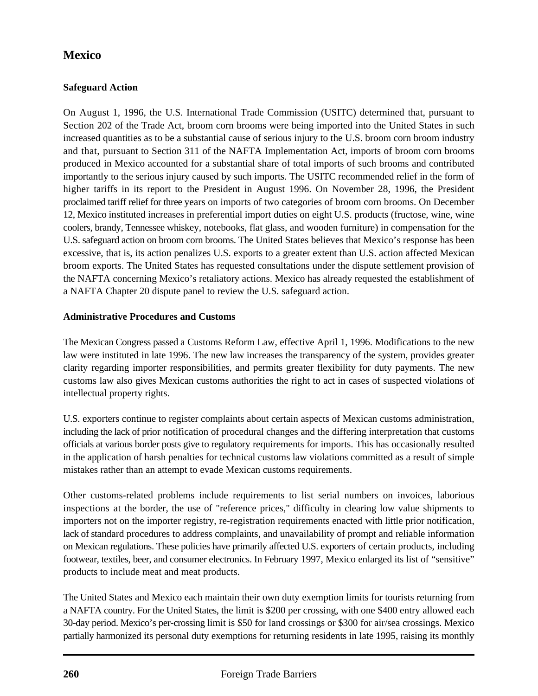# **Safeguard Action**

On August 1, 1996, the U.S. International Trade Commission (USITC) determined that, pursuant to Section 202 of the Trade Act, broom corn brooms were being imported into the United States in such increased quantities as to be a substantial cause of serious injury to the U.S. broom corn broom industry and that, pursuant to Section 311 of the NAFTA Implementation Act, imports of broom corn brooms produced in Mexico accounted for a substantial share of total imports of such brooms and contributed importantly to the serious injury caused by such imports. The USITC recommended relief in the form of higher tariffs in its report to the President in August 1996. On November 28, 1996, the President proclaimed tariff relief for three years on imports of two categories of broom corn brooms. On December 12, Mexico instituted increases in preferential import duties on eight U.S. products (fructose, wine, wine coolers, brandy, Tennessee whiskey, notebooks, flat glass, and wooden furniture) in compensation for the U.S. safeguard action on broom corn brooms. The United States believes that Mexico's response has been excessive, that is, its action penalizes U.S. exports to a greater extent than U.S. action affected Mexican broom exports. The United States has requested consultations under the dispute settlement provision of the NAFTA concerning Mexico's retaliatory actions. Mexico has already requested the establishment of a NAFTA Chapter 20 dispute panel to review the U.S. safeguard action.

## **Administrative Procedures and Customs**

The Mexican Congress passed a Customs Reform Law, effective April 1, 1996. Modifications to the new law were instituted in late 1996. The new law increases the transparency of the system, provides greater clarity regarding importer responsibilities, and permits greater flexibility for duty payments. The new customs law also gives Mexican customs authorities the right to act in cases of suspected violations of intellectual property rights.

U.S. exporters continue to register complaints about certain aspects of Mexican customs administration, including the lack of prior notification of procedural changes and the differing interpretation that customs officials at various border posts give to regulatory requirements for imports. This has occasionally resulted in the application of harsh penalties for technical customs law violations committed as a result of simple mistakes rather than an attempt to evade Mexican customs requirements.

Other customs-related problems include requirements to list serial numbers on invoices, laborious inspections at the border, the use of "reference prices," difficulty in clearing low value shipments to importers not on the importer registry, re-registration requirements enacted with little prior notification, lack of standard procedures to address complaints, and unavailability of prompt and reliable information on Mexican regulations. These policies have primarily affected U.S. exporters of certain products, including footwear, textiles, beer, and consumer electronics. In February 1997, Mexico enlarged its list of "sensitive" products to include meat and meat products.

The United States and Mexico each maintain their own duty exemption limits for tourists returning from a NAFTA country. For the United States, the limit is \$200 per crossing, with one \$400 entry allowed each 30-day period. Mexico's per-crossing limit is \$50 for land crossings or \$300 for air/sea crossings. Mexico partially harmonized its personal duty exemptions for returning residents in late 1995, raising its monthly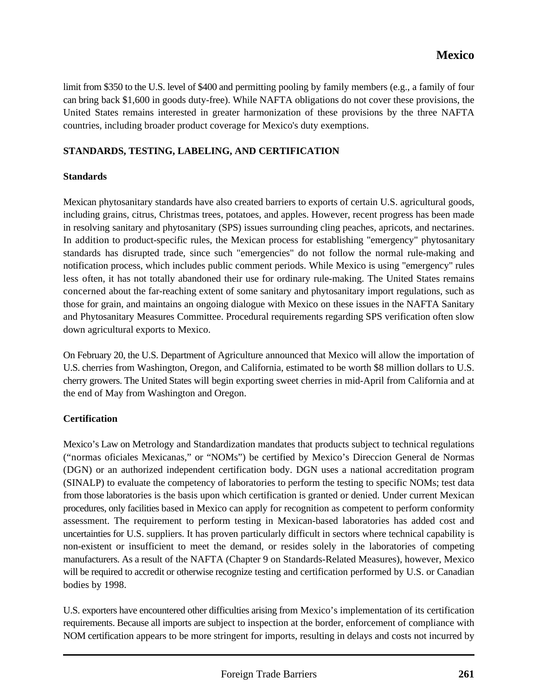limit from \$350 to the U.S. level of \$400 and permitting pooling by family members (e.g., a family of four can bring back \$1,600 in goods duty-free). While NAFTA obligations do not cover these provisions, the United States remains interested in greater harmonization of these provisions by the three NAFTA countries, including broader product coverage for Mexico's duty exemptions.

#### **STANDARDS, TESTING, LABELING, AND CERTIFICATION**

#### **Standards**

Mexican phytosanitary standards have also created barriers to exports of certain U.S. agricultural goods, including grains, citrus, Christmas trees, potatoes, and apples. However, recent progress has been made in resolving sanitary and phytosanitary (SPS) issues surrounding cling peaches, apricots, and nectarines. In addition to product-specific rules, the Mexican process for establishing "emergency" phytosanitary standards has disrupted trade, since such "emergencies" do not follow the normal rule-making and notification process, which includes public comment periods. While Mexico is using "emergency" rules less often, it has not totally abandoned their use for ordinary rule-making. The United States remains concerned about the far-reaching extent of some sanitary and phytosanitary import regulations, such as those for grain, and maintains an ongoing dialogue with Mexico on these issues in the NAFTA Sanitary and Phytosanitary Measures Committee. Procedural requirements regarding SPS verification often slow down agricultural exports to Mexico.

On February 20, the U.S. Department of Agriculture announced that Mexico will allow the importation of U.S. cherries from Washington, Oregon, and California, estimated to be worth \$8 million dollars to U.S. cherry growers. The United States will begin exporting sweet cherries in mid-April from California and at the end of May from Washington and Oregon.

## **Certification**

Mexico's Law on Metrology and Standardization mandates that products subject to technical regulations ("normas oficiales Mexicanas," or "NOMs") be certified by Mexico's Direccion General de Normas (DGN) or an authorized independent certification body. DGN uses a national accreditation program (SINALP) to evaluate the competency of laboratories to perform the testing to specific NOMs; test data from those laboratories is the basis upon which certification is granted or denied. Under current Mexican procedures, only facilities based in Mexico can apply for recognition as competent to perform conformity assessment. The requirement to perform testing in Mexican-based laboratories has added cost and uncertainties for U.S. suppliers. It has proven particularly difficult in sectors where technical capability is non-existent or insufficient to meet the demand, or resides solely in the laboratories of competing manufacturers. As a result of the NAFTA (Chapter 9 on Standards-Related Measures), however, Mexico will be required to accredit or otherwise recognize testing and certification performed by U.S. or Canadian bodies by 1998.

U.S. exporters have encountered other difficulties arising from Mexico's implementation of its certification requirements. Because all imports are subject to inspection at the border, enforcement of compliance with NOM certification appears to be more stringent for imports, resulting in delays and costs not incurred by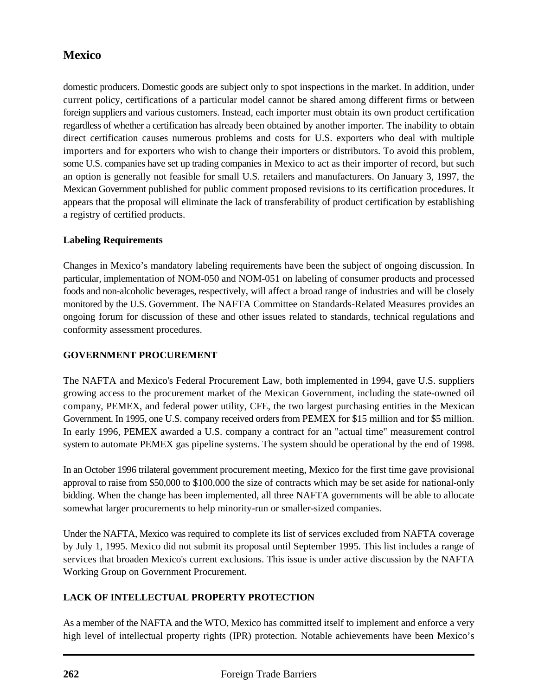domestic producers. Domestic goods are subject only to spot inspections in the market. In addition, under current policy, certifications of a particular model cannot be shared among different firms or between foreign suppliers and various customers. Instead, each importer must obtain its own product certification regardless of whether a certification has already been obtained by another importer. The inability to obtain direct certification causes numerous problems and costs for U.S. exporters who deal with multiple importers and for exporters who wish to change their importers or distributors. To avoid this problem, some U.S. companies have set up trading companies in Mexico to act as their importer of record, but such an option is generally not feasible for small U.S. retailers and manufacturers. On January 3, 1997, the Mexican Government published for public comment proposed revisions to its certification procedures. It appears that the proposal will eliminate the lack of transferability of product certification by establishing a registry of certified products.

## **Labeling Requirements**

Changes in Mexico's mandatory labeling requirements have been the subject of ongoing discussion. In particular, implementation of NOM-050 and NOM-051 on labeling of consumer products and processed foods and non-alcoholic beverages, respectively, will affect a broad range of industries and will be closely monitored by the U.S. Government. The NAFTA Committee on Standards-Related Measures provides an ongoing forum for discussion of these and other issues related to standards, technical regulations and conformity assessment procedures.

# **GOVERNMENT PROCUREMENT**

The NAFTA and Mexico's Federal Procurement Law, both implemented in 1994, gave U.S. suppliers growing access to the procurement market of the Mexican Government, including the state-owned oil company, PEMEX, and federal power utility, CFE, the two largest purchasing entities in the Mexican Government. In 1995, one U.S. company received orders from PEMEX for \$15 million and for \$5 million. In early 1996, PEMEX awarded a U.S. company a contract for an "actual time" measurement control system to automate PEMEX gas pipeline systems. The system should be operational by the end of 1998.

In an October 1996 trilateral government procurement meeting, Mexico for the first time gave provisional approval to raise from \$50,000 to \$100,000 the size of contracts which may be set aside for national-only bidding. When the change has been implemented, all three NAFTA governments will be able to allocate somewhat larger procurements to help minority-run or smaller-sized companies.

Under the NAFTA, Mexico was required to complete its list of services excluded from NAFTA coverage by July 1, 1995. Mexico did not submit its proposal until September 1995. This list includes a range of services that broaden Mexico's current exclusions. This issue is under active discussion by the NAFTA Working Group on Government Procurement.

## **LACK OF INTELLECTUAL PROPERTY PROTECTION**

As a member of the NAFTA and the WTO, Mexico has committed itself to implement and enforce a very high level of intellectual property rights (IPR) protection. Notable achievements have been Mexico's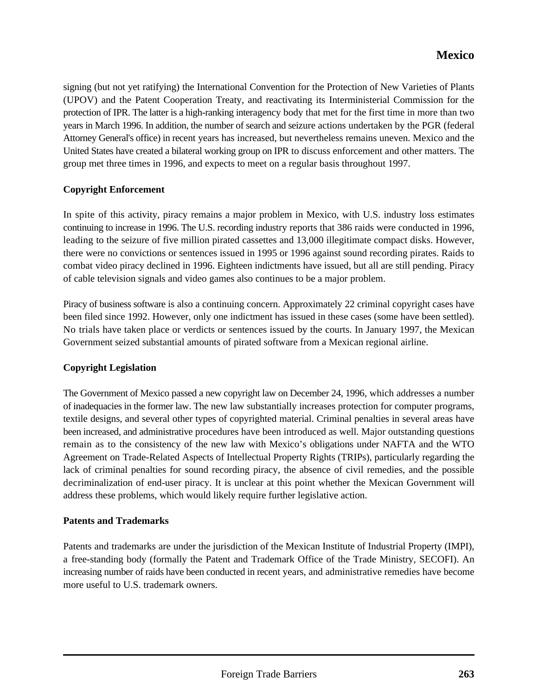signing (but not yet ratifying) the International Convention for the Protection of New Varieties of Plants (UPOV) and the Patent Cooperation Treaty, and reactivating its Interministerial Commission for the protection of IPR. The latter is a high-ranking interagency body that met for the first time in more than two years in March 1996. In addition, the number of search and seizure actions undertaken by the PGR (federal Attorney General's office) in recent years has increased, but nevertheless remains uneven. Mexico and the United States have created a bilateral working group on IPR to discuss enforcement and other matters. The group met three times in 1996, and expects to meet on a regular basis throughout 1997.

## **Copyright Enforcement**

In spite of this activity, piracy remains a major problem in Mexico, with U.S. industry loss estimates continuing to increase in 1996. The U.S. recording industry reports that 386 raids were conducted in 1996, leading to the seizure of five million pirated cassettes and 13,000 illegitimate compact disks. However, there were no convictions or sentences issued in 1995 or 1996 against sound recording pirates. Raids to combat video piracy declined in 1996. Eighteen indictments have issued, but all are still pending. Piracy of cable television signals and video games also continues to be a major problem.

Piracy of business software is also a continuing concern. Approximately 22 criminal copyright cases have been filed since 1992. However, only one indictment has issued in these cases (some have been settled). No trials have taken place or verdicts or sentences issued by the courts. In January 1997, the Mexican Government seized substantial amounts of pirated software from a Mexican regional airline.

#### **Copyright Legislation**

The Government of Mexico passed a new copyright law on December 24, 1996, which addresses a number of inadequacies in the former law. The new law substantially increases protection for computer programs, textile designs, and several other types of copyrighted material. Criminal penalties in several areas have been increased, and administrative procedures have been introduced as well. Major outstanding questions remain as to the consistency of the new law with Mexico's obligations under NAFTA and the WTO Agreement on Trade-Related Aspects of Intellectual Property Rights (TRIPs), particularly regarding the lack of criminal penalties for sound recording piracy, the absence of civil remedies, and the possible decriminalization of end-user piracy. It is unclear at this point whether the Mexican Government will address these problems, which would likely require further legislative action.

#### **Patents and Trademarks**

Patents and trademarks are under the jurisdiction of the Mexican Institute of Industrial Property (IMPI), a free-standing body (formally the Patent and Trademark Office of the Trade Ministry, SECOFI). An increasing number of raids have been conducted in recent years, and administrative remedies have become more useful to U.S. trademark owners.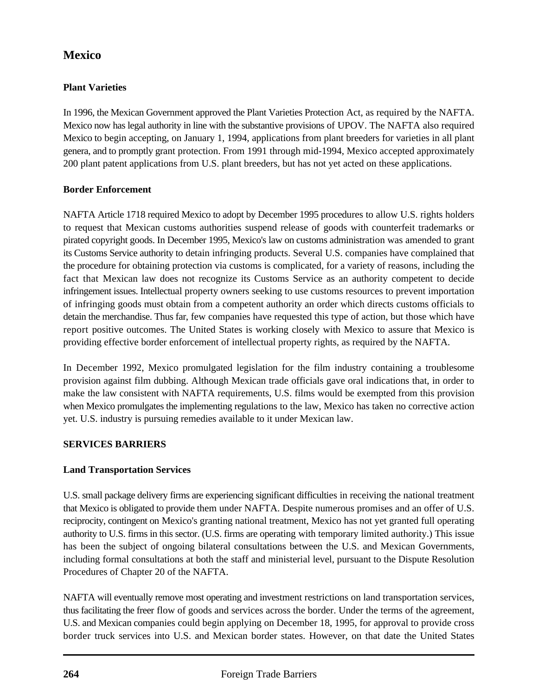# **Plant Varieties**

In 1996, the Mexican Government approved the Plant Varieties Protection Act, as required by the NAFTA. Mexico now has legal authority in line with the substantive provisions of UPOV. The NAFTA also required Mexico to begin accepting, on January 1, 1994, applications from plant breeders for varieties in all plant genera, and to promptly grant protection. From 1991 through mid-1994, Mexico accepted approximately 200 plant patent applications from U.S. plant breeders, but has not yet acted on these applications.

## **Border Enforcement**

NAFTA Article 1718 required Mexico to adopt by December 1995 procedures to allow U.S. rights holders to request that Mexican customs authorities suspend release of goods with counterfeit trademarks or pirated copyright goods. In December 1995, Mexico's law on customs administration was amended to grant its Customs Service authority to detain infringing products. Several U.S. companies have complained that the procedure for obtaining protection via customs is complicated, for a variety of reasons, including the fact that Mexican law does not recognize its Customs Service as an authority competent to decide infringement issues. Intellectual property owners seeking to use customs resources to prevent importation of infringing goods must obtain from a competent authority an order which directs customs officials to detain the merchandise. Thus far, few companies have requested this type of action, but those which have report positive outcomes. The United States is working closely with Mexico to assure that Mexico is providing effective border enforcement of intellectual property rights, as required by the NAFTA.

In December 1992, Mexico promulgated legislation for the film industry containing a troublesome provision against film dubbing. Although Mexican trade officials gave oral indications that, in order to make the law consistent with NAFTA requirements, U.S. films would be exempted from this provision when Mexico promulgates the implementing regulations to the law, Mexico has taken no corrective action yet. U.S. industry is pursuing remedies available to it under Mexican law.

# **SERVICES BARRIERS**

# **Land Transportation Services**

U.S. small package delivery firms are experiencing significant difficulties in receiving the national treatment that Mexico is obligated to provide them under NAFTA. Despite numerous promises and an offer of U.S. reciprocity, contingent on Mexico's granting national treatment, Mexico has not yet granted full operating authority to U.S. firms in this sector. (U.S. firms are operating with temporary limited authority.) This issue has been the subject of ongoing bilateral consultations between the U.S. and Mexican Governments, including formal consultations at both the staff and ministerial level, pursuant to the Dispute Resolution Procedures of Chapter 20 of the NAFTA.

NAFTA will eventually remove most operating and investment restrictions on land transportation services, thus facilitating the freer flow of goods and services across the border. Under the terms of the agreement, U.S. and Mexican companies could begin applying on December 18, 1995, for approval to provide cross border truck services into U.S. and Mexican border states. However, on that date the United States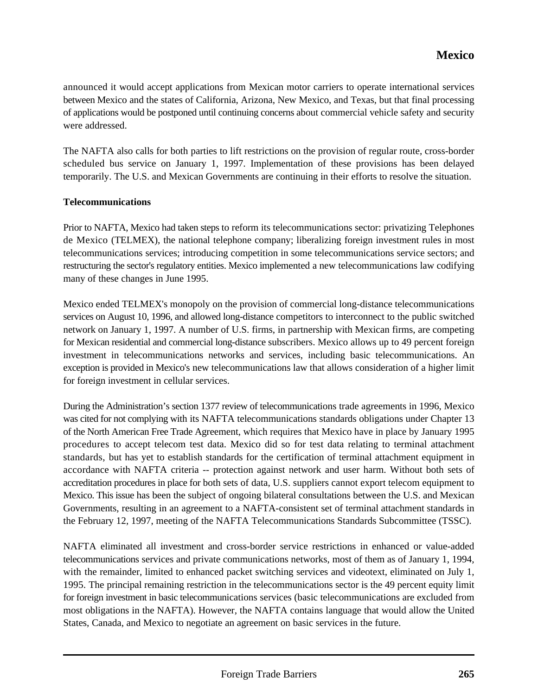announced it would accept applications from Mexican motor carriers to operate international services between Mexico and the states of California, Arizona, New Mexico, and Texas, but that final processing of applications would be postponed until continuing concerns about commercial vehicle safety and security were addressed.

The NAFTA also calls for both parties to lift restrictions on the provision of regular route, cross-border scheduled bus service on January 1, 1997. Implementation of these provisions has been delayed temporarily. The U.S. and Mexican Governments are continuing in their efforts to resolve the situation.

#### **Telecommunications**

Prior to NAFTA, Mexico had taken steps to reform its telecommunications sector: privatizing Telephones de Mexico (TELMEX), the national telephone company; liberalizing foreign investment rules in most telecommunications services; introducing competition in some telecommunications service sectors; and restructuring the sector's regulatory entities. Mexico implemented a new telecommunications law codifying many of these changes in June 1995.

Mexico ended TELMEX's monopoly on the provision of commercial long-distance telecommunications services on August 10, 1996, and allowed long-distance competitors to interconnect to the public switched network on January 1, 1997. A number of U.S. firms, in partnership with Mexican firms, are competing for Mexican residential and commercial long-distance subscribers. Mexico allows up to 49 percent foreign investment in telecommunications networks and services, including basic telecommunications. An exception is provided in Mexico's new telecommunications law that allows consideration of a higher limit for foreign investment in cellular services.

During the Administration's section 1377 review of telecommunications trade agreements in 1996, Mexico was cited for not complying with its NAFTA telecommunications standards obligations under Chapter 13 of the North American Free Trade Agreement, which requires that Mexico have in place by January 1995 procedures to accept telecom test data. Mexico did so for test data relating to terminal attachment standards, but has yet to establish standards for the certification of terminal attachment equipment in accordance with NAFTA criteria -- protection against network and user harm. Without both sets of accreditation procedures in place for both sets of data, U.S. suppliers cannot export telecom equipment to Mexico. This issue has been the subject of ongoing bilateral consultations between the U.S. and Mexican Governments, resulting in an agreement to a NAFTA-consistent set of terminal attachment standards in the February 12, 1997, meeting of the NAFTA Telecommunications Standards Subcommittee (TSSC).

NAFTA eliminated all investment and cross-border service restrictions in enhanced or value-added telecommunications services and private communications networks, most of them as of January 1, 1994, with the remainder, limited to enhanced packet switching services and videotext, eliminated on July 1, 1995. The principal remaining restriction in the telecommunications sector is the 49 percent equity limit for foreign investment in basic telecommunications services (basic telecommunications are excluded from most obligations in the NAFTA). However, the NAFTA contains language that would allow the United States, Canada, and Mexico to negotiate an agreement on basic services in the future.